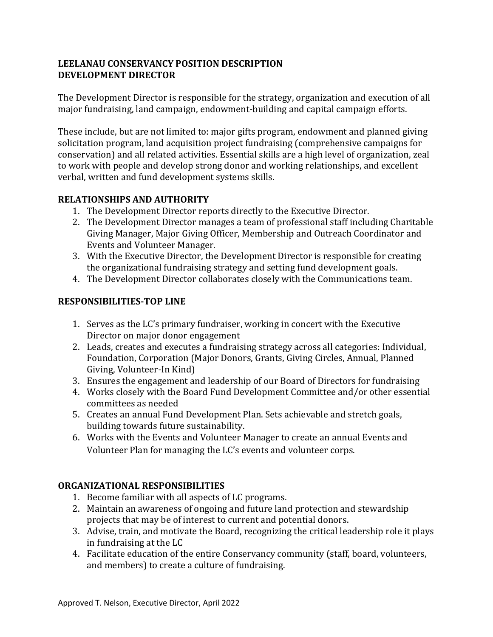### LEELANAU CONSERVANCY POSITION DESCRIPTION DEVELOPMENT DIRECTOR

The Development Director is responsible for the strategy, organization and execution of all major fundraising, land campaign, endowment-building and capital campaign efforts.

These include, but are not limited to: major gifts program, endowment and planned giving solicitation program, land acquisition project fundraising (comprehensive campaigns for conservation) and all related activities. Essential skills are a high level of organization, zeal to work with people and develop strong donor and working relationships, and excellent verbal, written and fund development systems skills.

### RELATIONSHIPS AND AUTHORITY

- 1. The Development Director reports directly to the Executive Director.
- 2. The Development Director manages a team of professional staff including Charitable Giving Manager, Major Giving Officer, Membership and Outreach Coordinator and Events and Volunteer Manager.
- 3. With the Executive Director, the Development Director is responsible for creating the organizational fundraising strategy and setting fund development goals.
- 4. The Development Director collaborates closely with the Communications team.

## RESPONSIBILITIES-TOP LINE

- 1. Serves as the LC's primary fundraiser, working in concert with the Executive Director on major donor engagement
- 2. Leads, creates and executes a fundraising strategy across all categories: Individual, Foundation, Corporation (Major Donors, Grants, Giving Circles, Annual, Planned Giving, Volunteer-In Kind)
- 3. Ensures the engagement and leadership of our Board of Directors for fundraising
- 4. Works closely with the Board Fund Development Committee and/or other essential committees as needed
- 5. Creates an annual Fund Development Plan. Sets achievable and stretch goals, building towards future sustainability.
- 6. Works with the Events and Volunteer Manager to create an annual Events and Volunteer Plan for managing the LC's events and volunteer corps.

# ORGANIZATIONAL RESPONSIBILITIES

- 1. Become familiar with all aspects of LC programs.
- 2. Maintain an awareness of ongoing and future land protection and stewardship projects that may be of interest to current and potential donors.
- 3. Advise, train, and motivate the Board, recognizing the critical leadership role it plays in fundraising at the LC
- 4. Facilitate education of the entire Conservancy community (staff, board, volunteers, and members) to create a culture of fundraising.